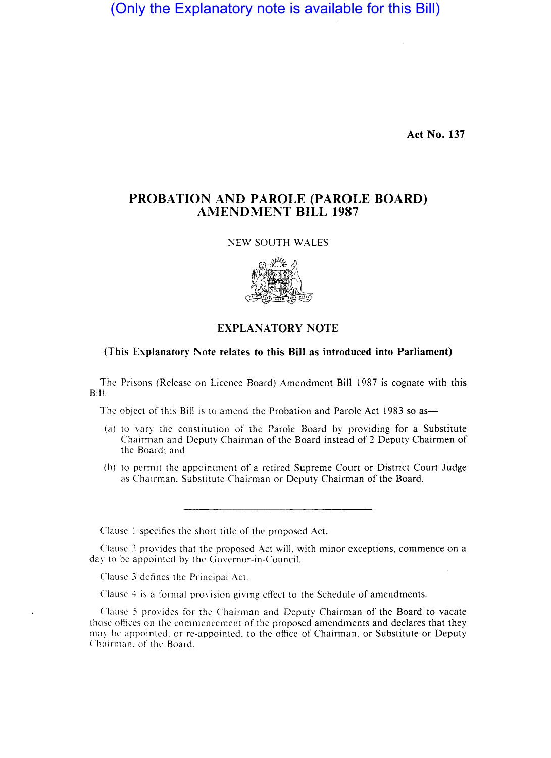(Only the Explanatory note is available for this Bill)

**Act No. 137** 

## **PROBATION AND PAROLE (PAROLE BOARD) AMENDMENT BILL 1987**

NEW SOUTH WALES



## **EXPLANATORY NOTE**

## **(This Explanatory Note relates to this Bill as introduced into Parliament)**

The Prisons (Release on Licence Board) Amendment Bill 1987 is cognate with this Bill.

The object of this Bill is to amend the Probation and Parole Act 1983 so as-

- (a) to vary the constitution of the Parole Board by providing for a Substitute Chairman and Deputy Chairman of the Board instead of 2 Deputy Chairmen of the Board: and
- (b) to permit the appointment of a retired Supreme Court or District Court Judge as Chairman. Substitute Chairman or Deputy Chairman of the Board.

Clause I specifics the short title of the proposed Act.

Clause: 2 provides that the proposed Act will, with minor exceptions, commence on a day to be appointed by the Governor-in-Council.

Clause 3 defines the Principal Act.

Clause 4 is a formal provision giving effect to the Schedule of amendments.

Clause 5 provides for the Chairman and Deputy Chairman of the Board to vacate those oflices on the commencement of the proposed amendments and declares that they may be appointed, or re-appointed, to the office of Chairman, or Substitute or Deputy Chairman. of the Board.